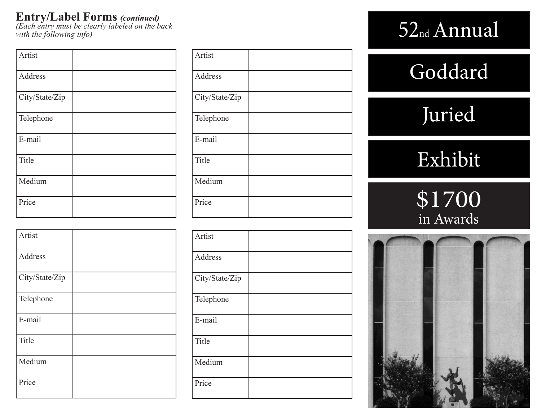## **Entry/Label Forms** *(continued)*

*(Each entry must be clearly labeled on the back with the following info)*

| Artist         |  |
|----------------|--|
| Address        |  |
| City/State/Zip |  |
| Telephone      |  |
| E-mail         |  |
| Title          |  |
| Medium         |  |
| Price          |  |

| Artist         |  |
|----------------|--|
| Address        |  |
| City/State/Zip |  |
| Telephone      |  |
| E-mail         |  |
| Title          |  |
| Medium         |  |
| Price          |  |

| Artist         |  |
|----------------|--|
| Address        |  |
| City/State/Zip |  |
| Telephone      |  |
| E-mail         |  |
| Title          |  |
| Medium         |  |
| Price          |  |

| Artist         |  |
|----------------|--|
| Address        |  |
| City/State/Zip |  |
| Telephone      |  |
| E-mail         |  |
| Title          |  |
| Medium         |  |
| Price          |  |

# 52nd Annual

# Goddard

# Juried

# Exhibit

# \$1700 in Awards